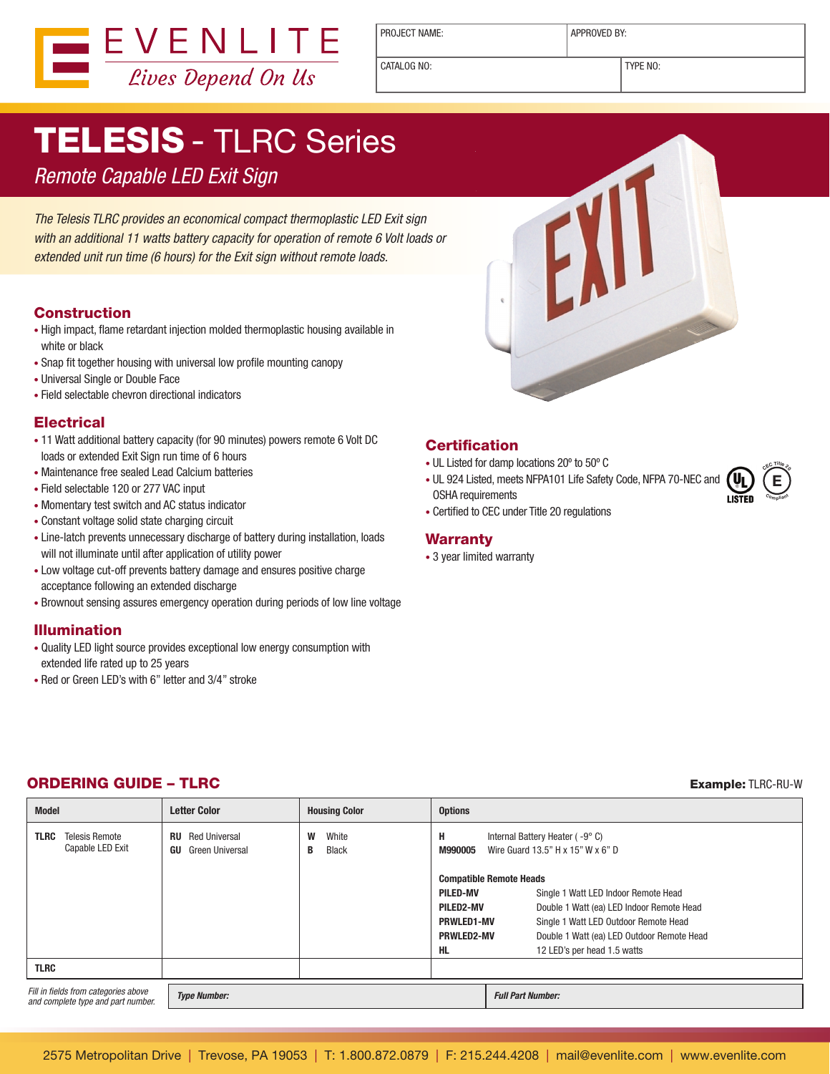

PROJECT NAME:  $\vert$  APPROVED BY:

CATALOG NO: TYPE NO:

# TELESIS - TLRC Series

## Remote Capable LED Exit Sign

The Telesis TLRC provides an economical compact thermoplastic LED Exit sign with an additional 11 watts battery capacity for operation of remote 6 Volt loads or extended unit run time (6 hours) for the Exit sign without remote loads.

#### **Construction**

- High impact, flame retardant injection molded thermoplastic housing available in white or black
- Snap fit together housing with universal low profile mounting canopy
- Universal Single or Double Face
- Field selectable chevron directional indicators

#### **Electrical**

- 11 Watt additional battery capacity (for 90 minutes) powers remote 6 Volt DC loads or extended Exit Sign run time of 6 hours
- Maintenance free sealed Lead Calcium batteries
- • Field selectable 120 or 277 VAC input
- • Momentary test switch and AC status indicator
- • Constant voltage solid state charging circuit
- • Line-latch prevents unnecessary discharge of battery during installation, loads will not illuminate until after application of utility power
- Low voltage cut-off prevents battery damage and ensures positive charge acceptance following an extended discharge
- • Brownout sensing assures emergency operation during periods of low line voltage

#### Illumination

- • Quality LED light source provides exceptional low energy consumption with extended life rated up to 25 years
- Red or Green LED's with 6" letter and 3/4" stroke



#### **Certification**

- UL Listed for damp locations 20° to 50° C
- UL 924 Listed, meets NFPA101 Life Safety Code, NFPA 70-NEC and OSHA requirements
- **E <sup>C</sup>E<sup>C</sup> <sup>T</sup>itl<sup>e</sup> <sup>2</sup><sup>0</sup> <sup>C</sup>omplian<sup>t</sup>**

• Certified to CEC under Title 20 regulations

#### **Warranty**

• 3 year limited warranty

### **ORDERING GUIDE – TLRC Example: TLRC-RU-W Example: TLRC-RU-W**

| <b>Model</b>                                                               | <b>Letter Color</b>                                 | <b>Housing Color</b>            | <b>Options</b>                                                                      |                                            |
|----------------------------------------------------------------------------|-----------------------------------------------------|---------------------------------|-------------------------------------------------------------------------------------|--------------------------------------------|
| TLRC<br><b>Telesis Remote</b><br>Capable LED Exit                          | <b>Red Universal</b><br>RU<br>Green Universal<br>GU | W<br>White<br><b>Black</b><br>В | н<br>Internal Battery Heater (-9°C)<br>Wire Guard 13.5" H x 15" W x 6" D<br>M990005 |                                            |
|                                                                            |                                                     |                                 | <b>Compatible Remote Heads</b>                                                      |                                            |
|                                                                            |                                                     |                                 | PILED-MV                                                                            | Single 1 Watt LED Indoor Remote Head       |
|                                                                            |                                                     |                                 | PILED2-MV                                                                           | Double 1 Watt (ea) LED Indoor Remote Head  |
|                                                                            |                                                     |                                 | <b>PRWLED1-MV</b>                                                                   | Single 1 Watt LED Outdoor Remote Head      |
|                                                                            |                                                     |                                 | <b>PRWLED2-MV</b>                                                                   | Double 1 Watt (ea) LED Outdoor Remote Head |
|                                                                            |                                                     |                                 | HL                                                                                  | 12 LED's per head 1.5 watts                |
| <b>TLRC</b>                                                                |                                                     |                                 |                                                                                     |                                            |
| Fill in fields from categories above<br>and complete type and part number. | <b>Type Number:</b>                                 |                                 |                                                                                     | <b>Full Part Number:</b>                   |